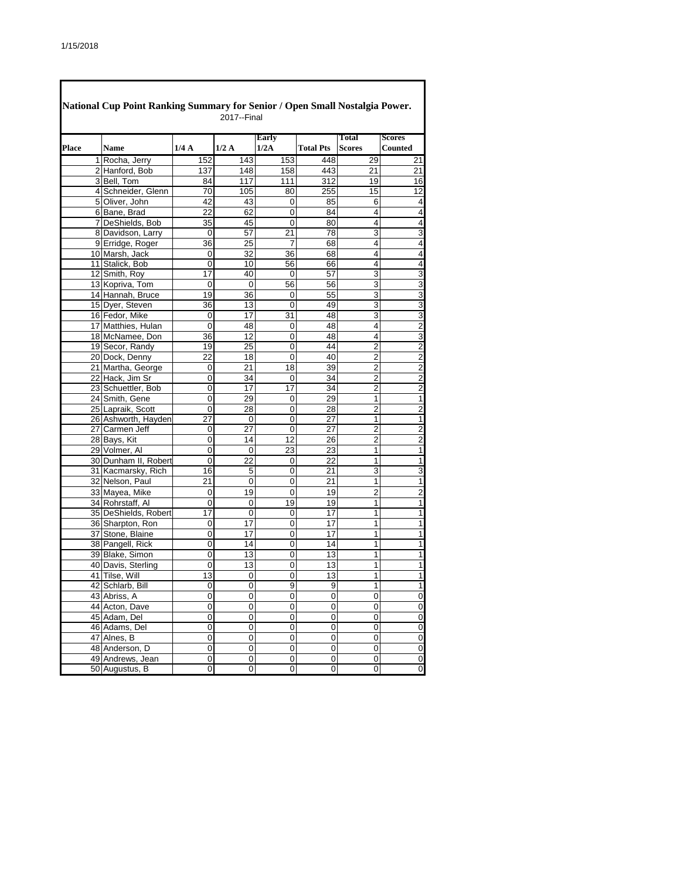|              | National Cup Point Ranking Summary for Senior / Open Small Nostalgia Power. |                | 2017--Final     |                 |                  |                |                         |
|--------------|-----------------------------------------------------------------------------|----------------|-----------------|-----------------|------------------|----------------|-------------------------|
|              |                                                                             |                |                 | Early           |                  | Total          | <b>Scores</b>           |
| <b>Place</b> | <b>Name</b>                                                                 | 1/4A           | 1/2A            | 1/2A            | <b>Total Pts</b> | <b>Scores</b>  | <b>Counted</b>          |
|              | 1 Rocha, Jerry                                                              | 152            | 143             | 153             | 448              | 29             | 21                      |
|              | 2 Hanford, Bob                                                              | 137            | 148             | 158             | 443              | 21             | 21                      |
|              | 3 Bell. Tom                                                                 | 84             | 117             | 111             | 312              | 19             | 16                      |
|              | 4 Schneider, Glenn                                                          | 70             | 105             | 80              | 255              | 15             | $\overline{12}$         |
|              | 5 Oliver, John                                                              | 42             | 43              | 0               | 85               | 6              | $\overline{\mathbf{4}}$ |
|              | 6 Bane, Brad                                                                | 22             | 62              | 0               | 84               | 4              | $\overline{\mathbf{4}}$ |
|              | 7 DeShields, Bob                                                            | 35             | 45              | 0               | 80               | 4              | $\overline{\mathbf{4}}$ |
|              | 8 Davidson, Larry                                                           | 0              | 57              | 21              | 78               | 3              | $\overline{3}$          |
|              | 9 Erridge, Roger                                                            | 36             | 25              | $\overline{7}$  | 68               | 4              | 4                       |
|              | 10 Marsh, Jack                                                              | 0              | 32              | 36              | 68               | 4              | $\overline{4}$          |
|              | 11 Stalick, Bob                                                             | 0              | 10              | 56              | 66               | 4              | $\overline{4}$          |
|              | 12 Smith, Roy                                                               | 17             | 40              | $\overline{0}$  | 57               | 3              | $\overline{3}$          |
|              | 13 Kopriva, Tom                                                             | $\Omega$       | $\mathbf 0$     | 56              | 56               | $\overline{3}$ | $\frac{3}{3}$           |
|              | 14 Hannah, Bruce                                                            | 19             | 36              | 0               | 55               | 3              |                         |
|              | 15 Dyer, Steven                                                             | 36             | 13              | 0               | 49               | 3              | $\overline{3}$          |
|              | 16 Fedor, Mike                                                              | 0              | 17              | 31              | 48               | 3              | $\overline{3}$          |
|              | 17 Matthies, Hulan                                                          | 0              | 48              | 0               | 48               | 4              | $\overline{2}$          |
|              | 18 McNamee, Don                                                             | 36             | 12              | 0               | 48               | 4              | $\overline{3}$          |
|              | 19 Secor, Randy                                                             | 19             | 25              | 0               | 44               | 2              | $\frac{2}{2}$           |
|              | 20 Dock, Denny                                                              | 22             | 18              | 0               | 40               | $\overline{2}$ |                         |
|              | 21 Martha, George                                                           | 0              | 21              | 18              | 39               | $\overline{2}$ | $\overline{2}$          |
|              | 22 Hack, Jim Sr                                                             | 0              | 34              | 0               | $\overline{34}$  | $\overline{2}$ | $\overline{2}$          |
|              | 23 Schuettler, Bob                                                          | $\overline{0}$ | $\overline{17}$ | $\overline{17}$ | 34               | $\overline{2}$ | $\overline{\mathbf{c}}$ |
|              | 24 Smith, Gene                                                              | 0              | 29              | 0               | 29               | 1              | $\overline{1}$          |
|              | 25 Lapraik, Scott                                                           | 0              | 28              | 0               | 28               | $\overline{2}$ | $\overline{2}$          |
|              | 26 Ashworth, Hayden                                                         | 27             | 0               | 0               | 27               | 1              | $\overline{\mathbf{1}}$ |
|              | 27 Carmen Jeff                                                              | 0              | 27              | 0               | $\overline{27}$  | $\overline{2}$ | $\overline{\mathbf{c}}$ |
|              | 28 Bays, Kit                                                                | 0              | 14              | 12              | 26               | $\overline{c}$ | $\overline{2}$          |
|              | 29 Volmer, Al                                                               | $\mathbf 0$    | 0               | 23              | 23               | 1              | $\overline{1}$          |
|              | 30 Dunham II, Robert                                                        | 0              | 22              | $\overline{0}$  | 22               | 1              | $\overline{1}$          |
|              | 31 Kacmarsky, Rich                                                          | 16             | 5               | 0               | 21               | 3              | 3                       |
|              | 32 Nelson, Paul                                                             | 21             | 0               | 0               | 21               | 1              | $\overline{1}$          |
|              | 33 Mayea, Mike                                                              | 0              | 19              | 0               | 19               | $\overline{c}$ | $\overline{2}$          |
|              | 34 Rohrstaff, Al                                                            | 0              | 0               | 19              | 19               | 1              | $\overline{1}$          |
|              | 35 DeShields, Robert                                                        | 17             | 0               | 0               | $\overline{17}$  | 1              | $\overline{\mathbf{1}}$ |
|              | 36 Sharpton, Ron                                                            | 0              | 17              | 0               | $\overline{17}$  | 1              | $\overline{1}$          |
|              | 37 Stone, Blaine                                                            | 0              | 17              | 0               | 17               | 1              | $\overline{\mathbf{1}}$ |
|              | 38 Pangell, Rick                                                            | 0              | 14              | 0               | 14               | 1              | $\overline{1}$          |
|              | 39 Blake, Simon                                                             | $\overline{0}$ | $\overline{13}$ | 0               | 13               | 1              | $\overline{1}$          |
|              | 40 Davis, Sterling                                                          | 0              | 13              | 0               | 13               | 1              | $\overline{1}$          |
|              | 41 Tilse, Will                                                              | 13             | 0               | 0               | 13               | 1              | $\mathbf{1}$            |
|              | 42 Schlarb, Bill                                                            | 0              | 0               | 9               | 9                | 1              | $\mathbf{1}$            |
|              | 43 Abriss, A                                                                | 0              | 0               | 0               | 0                | 0              | $\mathsf{O}\xspace$     |
|              | 44 Acton, Dave                                                              | 0              | 0               | 0               | 0                | 0              | $\pmb{0}$               |
|              | 45 Adam, Del                                                                | 0              | 0               | 0               | 0                | 0              | $\overline{0}$          |
|              | 46 Adams, Del                                                               | 0              | 0               | 0               | 0                | 0              | $\overline{0}$          |
|              | 47 Alnes, B                                                                 | 0              | 0               | 0               | 0                | 0              | $\overline{\mathbf{0}}$ |
|              | 48 Anderson, D                                                              | 0              | 0               | 0               | 0                | 0              | $\pmb{0}$               |
|              | 49 Andrews, Jean                                                            | 0              | 0               | 0               | 0                | 0              | $\mathbf 0$             |
|              | 50 Augustus, B                                                              | $\overline{0}$ | 0               | 0               | 0                | 0              | $\overline{0}$          |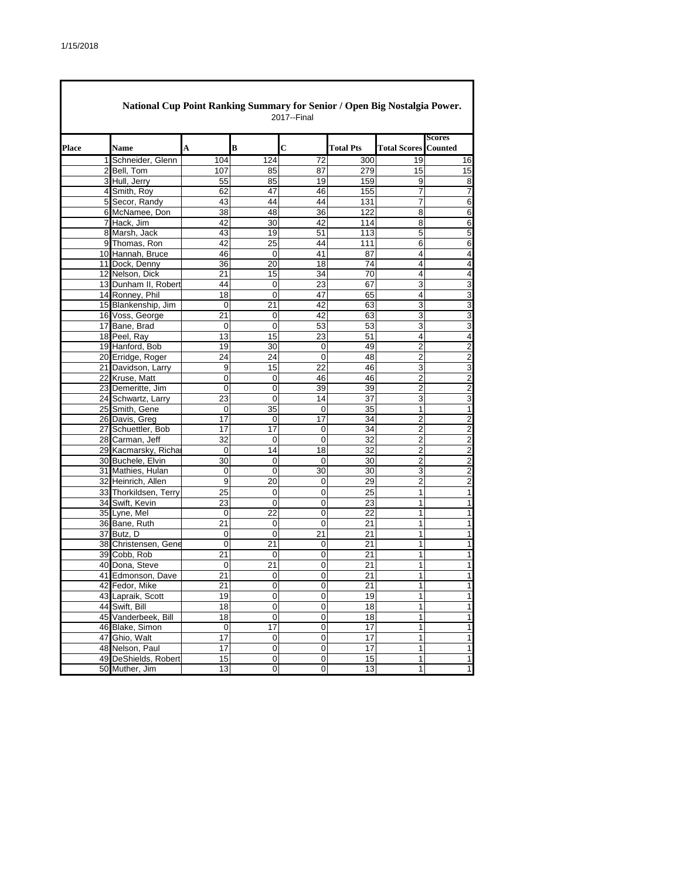|       | National Cup Point Ranking Summary for Senior / Open Big Nostalgia Power. |                 |                 | 2017--Final            |                       |                           |                                |
|-------|---------------------------------------------------------------------------|-----------------|-----------------|------------------------|-----------------------|---------------------------|--------------------------------|
| Place | <b>Name</b>                                                               | A               | B               | $\overline{c}$         | <b>Total Pts</b>      | <b>Total Scores</b>       | <b>Scores</b><br>Counted       |
|       | Schneider, Glenn<br>11                                                    | 104             | 124             | 72                     | 300                   | 19                        | 16                             |
|       | 2 Bell, Tom                                                               | 107             | 85              | 87                     | 279                   | 15                        | 15                             |
|       | 3 Hull, Jerry                                                             | 55              | 85              | 19                     | 159                   | 9                         | 8                              |
|       | 4 Smith, Roy                                                              | 62              | 47              | 46                     | 155                   | 7                         | $\overline{7}$                 |
|       | 5 Secor, Randy                                                            | 43              | 44              | 44                     | 131                   | 7                         | 6                              |
|       | 6 McNamee, Don                                                            | 38              | 48              | 36                     | 122                   | 8                         | 6                              |
|       | 7 Hack, Jim                                                               | 42              | 30              | 42                     | 114                   | 8                         | $\overline{6}$                 |
|       | 8 Marsh, Jack                                                             | 43              | 19              | 51                     | 113                   | 5                         | 5                              |
|       | 9 Thomas, Ron                                                             | 42              | $\overline{25}$ | 44                     | 111                   | 6                         | 6                              |
|       | 10 Hannah, Bruce                                                          | 46              | 0               | 41                     | 87                    | 4                         | $\overline{\mathbf{4}}$        |
|       | 11 Dock, Denny                                                            | 36              | 20              | 18                     | $\overline{74}$       | 4                         | $\overline{\mathbf{r}}$        |
|       | 12 Nelson, Dick                                                           | 21              | 15              | 34                     | 70                    | 4                         | $\overline{\mathbf{4}}$        |
|       | 13 Dunham II, Robert                                                      | 44              | $\mathbf 0$     | $\overline{23}$        | 67                    | $\overline{3}$            | 3                              |
|       | 14 Ronney, Phil                                                           | 18              | 0               | 47                     | 65                    | 4                         | 3                              |
|       | 15 Blankenship, Jim                                                       | 0               | 21              | 42                     | 63                    | 3                         | 3                              |
|       | 16 Voss, George                                                           | 21              | 0               | 42                     | 63                    | 3                         | 3                              |
|       | 17 Bane, Brad                                                             | 0               | 0               | 53                     | 53                    | $\ensuremath{\mathsf{3}}$ | $\overline{3}$                 |
|       | 18 Peel, Ray                                                              | 13              | 15              | 23                     | 51                    | 4                         | $\overline{\mathbf{4}}$        |
|       | 19 Hanford, Bob                                                           | 19              | 30              | 0                      | 49                    | $\overline{2}$            | $\overline{2}$                 |
|       | 20 Erridge, Roger                                                         | 24              | 24              | 0                      | 48                    | $\overline{2}$            | $\overline{2}$                 |
|       | 21 Davidson, Larry                                                        | 9               | 15              | 22                     | 46                    | 3                         | 3                              |
|       | 22 Kruse, Matt                                                            | 0               | 0               | 46                     | 46                    | $\overline{2}$            | $\overline{2}$                 |
|       | 23 Demeritte, Jim                                                         | 0               | $\overline{0}$  | 39                     | 39                    | $\overline{2}$            | $\overline{2}$                 |
|       | 24 Schwartz, Larry                                                        | 23              | 0               | 14                     | 37                    | 3                         | $\overline{3}$                 |
|       | 25 Smith, Gene                                                            | 0               | 35              | 0                      | 35                    | 1                         | $\overline{1}$                 |
|       | 26 Davis, Greg                                                            | 17              | 0               | 17                     | 34                    | 2                         | $\overline{2}$                 |
|       | 27 Schuettler, Bob                                                        | 17              | 17              | 0                      | 34                    | $\overline{2}$            | $\overline{2}$                 |
|       | 28 Carman, Jeff                                                           | 32              | 0               | 0                      | 32                    | $\overline{2}$            | $\overline{2}$                 |
|       | 29 Kacmarsky, Richa                                                       | $\mathbf 0$     | 14              | 18                     | 32                    | $\overline{2}$            | $\overline{2}$                 |
|       | 30 Buchele, Elvin                                                         | 30              | 0               | 0                      | 30                    | 2                         | $\overline{c}$                 |
|       | 31 Mathies, Hulan                                                         | $\mathbf 0$     | 0               | 30                     | 30                    | 3                         | $\overline{2}$                 |
|       | 32 Heinrich, Allen                                                        | 9               | 20              | 0                      | 29                    | 2                         | $\overline{c}$                 |
|       | 33 Thorkildsen, Terry                                                     | 25              | 0               | 0                      | 25                    | $\mathbf{1}$              | $\mathbf{1}$                   |
|       | 34 Swift, Kevin                                                           | 23              | 0               | 0                      | 23                    | $\mathbf{1}$              | $\mathbf{1}$                   |
|       | 35 Lyne, Mel                                                              | 0               | 22              | 0                      | 22                    | $\mathbf{1}$              | $\mathbf{1}$                   |
|       | 36 Bane, Ruth                                                             | 21              | 0               | 0                      | 21                    | 1                         | $\mathbf{1}$<br>$\overline{1}$ |
|       | 37 Butz, D                                                                | 0<br>0          | 0               | 21                     | 21                    | 1<br>1                    | $\overline{1}$                 |
|       | 38 Christensen, Gene<br>39 Cobb, Rob                                      | $\overline{21}$ | 21<br>0         | 0<br>0                 | 21<br>$\overline{21}$ | 1                         |                                |
|       |                                                                           |                 | 21              | 0                      | 21                    | 1                         | 1                              |
|       | 40 Dona, Steve<br>41 Edmonson, Dave                                       | 0<br>21         | $\Omega$        | $\Omega$               | 21                    | $\mathbf{1}$              | 1<br>$\mathbf{1}$              |
|       |                                                                           | 21              | 0               | $\boldsymbol{0}$       | 21                    | $\mathbf{1}$              | 1                              |
|       | 42 Fedor, Mike<br>43 Lapraik, Scott                                       | 19              | $\overline{0}$  | 0                      | 19                    | $\mathbf{1}$              | $\mathbf{1}$                   |
|       | 44 Swift, Bill                                                            | 18              | $\mathsf 0$     | $\pmb{0}$              | 18                    | $\mathbf{1}$              | 1                              |
|       | 45 Vanderbeek, Bill                                                       | 18              | 0               | $\pmb{0}$              | 18                    | $\mathbf{1}$              | $\mathbf{1}$                   |
|       | 46 Blake, Simon                                                           | $\pmb{0}$       | 17              | $\mathbf 0$            | 17                    | $\mathbf{1}$              | $\mathbf{1}$                   |
|       | 47 Ghio, Walt                                                             | 17              | 0               | 0                      | 17                    | $\mathbf{1}$              | $\mathbf{1}$                   |
|       | 48 Nelson, Paul                                                           | 17              | $\mathsf 0$     | $\mathsf 0$            | 17                    | $\mathbf{1}$              | $\overline{\phantom{a}}$       |
|       | 49 DeShields, Robert                                                      | 15              | $\pmb{0}$       |                        |                       | $\mathbf{1}$              | $\mathbf{1}$                   |
|       | 50 Muther, Jim                                                            | 13              | $\pmb{0}$       | $\pmb{0}$<br>$\pmb{0}$ | 15<br>13              | 1                         | $\overline{1}$                 |
|       |                                                                           |                 |                 |                        |                       |                           |                                |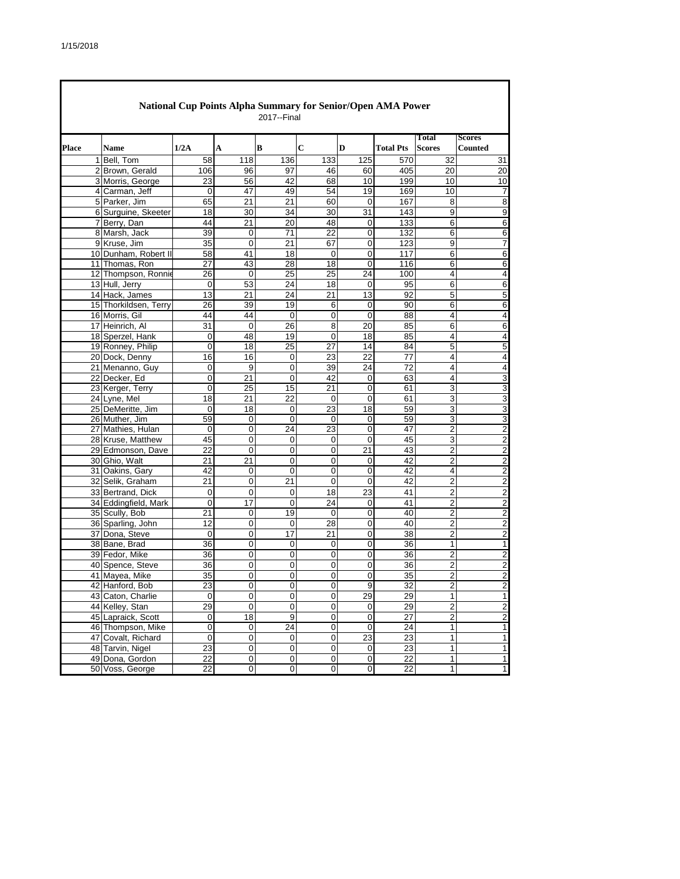|       |                       | <b>National Cup Points Alpha Summary for Senior/Open AMA Power</b> |                 | 2017--Final     |                 |                         |                  |                        |                                 |
|-------|-----------------------|--------------------------------------------------------------------|-----------------|-----------------|-----------------|-------------------------|------------------|------------------------|---------------------------------|
| Place | <b>Name</b>           | 1/2A                                                               | A               | B               | $\mathbf C$     | D                       | <b>Total Pts</b> | Total<br><b>Scores</b> | <b>Scores</b><br><b>Counted</b> |
|       | 1 Bell, Tom           | 58                                                                 | 118             | 136             | 133             | 125                     | 570              | 32                     | 31                              |
|       | 2 Brown, Gerald       | 106                                                                | 96              | 97              | 46              | 60                      | 405              | 20                     | 20                              |
|       | 3 Morris, George      | 23                                                                 | 56              | 42              | 68              | 10                      | 199              | 10                     | 10                              |
|       | 4 Carman, Jeff        | 0                                                                  | 47              | 49              | 54              | 19                      | 169              | 10                     | 7                               |
|       | 5 Parker, Jim         | 65                                                                 | 21              | $\overline{21}$ | 60              | $\mathbf 0$             | 167              | 8                      | 8                               |
|       | 6 Surguine, Skeeter   | 18                                                                 | 30              | 34              | 30              | 31                      | 143              | 9                      | 9                               |
|       | 7 Berry, Dan          | 44                                                                 | 21              | $\overline{20}$ | 48              | $\mathbf 0$             | 133              | 6                      | 6                               |
|       | 8 Marsh, Jack         | 39                                                                 | 0               | 71              | 22              | 0                       | 132              | 6                      | 6                               |
|       | 9 Kruse, Jim          | $\overline{35}$                                                    | 0               | $\overline{21}$ | 67              | 0                       | 123              | 9                      | 7                               |
|       | 10 Dunham, Robert II  | 58                                                                 | 41              | 18              | 0               | 0                       | 117              | 6                      | 6                               |
|       | 11 Thomas, Ron        | 27                                                                 | 43              | 28              | 18              | $\overline{0}$          | 116              | 6                      | 6                               |
|       | 12 Thompson, Ronnie   | 26                                                                 | 0               | 25              | 25              | 24                      | 100              | 4                      | 4                               |
|       | 13 Hull, Jerry        | 0                                                                  | 53              | 24              | 18              | 0                       | 95               | 6                      | 6                               |
|       | 14 Hack, James        | 13                                                                 | 21              | 24              | 21              | 13                      | 92               | 5                      | 5                               |
|       | 15 Thorkildsen, Terry | 26                                                                 | 39              | 19              | 6               | 0                       | 90               | 6                      | 6                               |
|       | 16 Morris, Gil        | 44                                                                 | 44              | 0               | $\mathbf 0$     | $\mathbf 0$             | 88               | 4                      | $\overline{4}$                  |
|       | 17 Heinrich, Al       | 31                                                                 | 0               | 26              | 8               | 20                      | 85               | 6                      | 6                               |
|       | 18 Sperzel, Hank      | 0                                                                  | 48              | 19              | 0               | 18                      | 85               | 4                      | 4                               |
|       | 19 Ronney, Philip     | 0                                                                  | 18              | $\overline{25}$ | $\overline{27}$ | 14                      | 84               | 5                      | 5                               |
|       | 20 Dock, Denny        | 16                                                                 | 16              | 0               | 23              | 22                      | 77               | 4                      | 4                               |
|       | 21 Menanno, Guy       | 0                                                                  | 9               | $\mathbf 0$     | 39              | 24                      | 72               | 4                      | 4                               |
|       | 22 Decker, Ed         | 0                                                                  | 21              | 0               | 42              | 0                       | 63               | 4                      | 3                               |
|       | 23 Kerger, Terry      | 0                                                                  | $\overline{25}$ | 15              | 21              | $\overline{0}$          | 61               | 3                      | 3                               |
|       | 24 Lyne, Mel          | 18                                                                 | 21              | 22              | 0               | 0                       | 61               | 3                      | 3                               |
|       | 25 DeMeritte, Jim     | 0                                                                  | 18              | 0               | 23              | 18                      | 59               | 3                      | 3                               |
|       | 26 Muther, Jim        | 59                                                                 | 0               | 0               | 0               | $\mathbf 0$             | 59               | 3                      | 3                               |
|       | 27 Mathies, Hulan     | 0                                                                  | 0               | 24              | 23              | $\mathbf 0$             | 47               | $\overline{c}$         | $\overline{c}$                  |
|       | 28 Kruse, Matthew     | 45                                                                 | 0               | 0               | 0               | 0                       | 45               | 3                      | $\overline{c}$                  |
|       | 29 Edmonson, Dave     | 22                                                                 | 0               | 0               | 0               | 21                      | 43               | $\overline{c}$         | $\overline{c}$                  |
|       | 30 Ghio, Walt         | 21                                                                 | 21              | 0               | 0               | 0                       | 42               | 2                      | $\overline{2}$                  |
|       | 31 Oakins, Gary       | 42                                                                 | 0               | 0               | 0               | 0                       | 42               | 4                      | $\overline{\mathbf{c}}$         |
|       | 32 Selik, Graham      | 21                                                                 | 0               | 21              | $\mathbf 0$     | $\mathbf 0$             | 42               | 2                      | $\overline{2}$                  |
|       | 33 Bertrand, Dick     | 0                                                                  | 0               | 0               | 18              | 23                      | 41               | 2                      | $\overline{2}$                  |
|       | 34 Eddingfield, Mark  | 0                                                                  | 17              | 0               | 24              | 0                       | 41               | 2                      | $\overline{2}$                  |
|       | 35 Scully, Bob        | 21                                                                 | 0               | 19              | $\mathbf 0$     | 0                       | 40               | 2                      | $\overline{c}$                  |
|       | 36 Sparling, John     | 12                                                                 | 0               | 0               | 28              | 0                       | 40               | 2                      | $\overline{c}$                  |
|       | 37 Dona, Steve        | 0                                                                  | 0               | 17              | 21              | 0                       | $\overline{38}$  | $\overline{2}$         | $\overline{2}$                  |
|       | 38 Bane, Brad         | 36                                                                 | 0               | 0               | 0               | 0                       | 36               | 1                      | 1                               |
|       | 39 Fedor, Mike        | 36                                                                 | 0               | 0               | 0               | 0                       | 36               | $\overline{2}$         | $\overline{c}$                  |
|       | 40 Spence, Steve      | 36                                                                 | 0               | 0               | 0               | 0                       | 36               | 2                      | $\overline{\mathbf{c}}$         |
|       | 41 Mayea, Mike        | $\overline{35}$                                                    | 0               | 0               | 0               | $\overline{\mathbf{0}}$ | $\overline{35}$  | $\overline{2}$         | $\overline{2}$                  |
|       | 42 Hanford, Bob       | 23                                                                 | 0               | $\mathbf 0$     | $\mathbf 0$     | $\overline{9}$          | 32               | $\overline{2}$         | $\overline{c}$                  |
|       | 43 Caton, Charlie     | 0                                                                  | 0               | 0               | 0               | 29                      | 29               | 1                      | 1                               |
|       | 44 Kelley, Stan       | 29                                                                 | 0               | 0               | $\mathbf 0$     | 0                       | 29               | $\overline{2}$         | $\overline{c}$                  |
|       | 45 Lapraick, Scott    | 0                                                                  | 18              | 9               | $\pmb{0}$       | $\pmb{0}$               | 27               | $\boldsymbol{2}$       | $\overline{\mathbf{c}}$         |
|       | 46 Thompson, Mike     | $\mathbf 0$                                                        | $\mathsf 0$     | 24              | $\mathbf 0$     | $\mathbf 0$             | 24               | 1                      | 1                               |
|       | 47 Covalt, Richard    | 0                                                                  | 0               | 0               | 0               | 23                      | 23               | 1                      | 1                               |
|       | 48 Tarvin, Nigel      | 23                                                                 | $\mathbf 0$     | $\overline{0}$  | $\mathbf 0$     | $\mathbf 0$             | 23               | 1                      | 1                               |
|       | 49 Dona, Gordon       | 22                                                                 | $\pmb{0}$       | 0               | $\pmb{0}$       | 0                       | 22               | $\mathbf{1}$           | 1                               |
|       | 50 Voss, George       | 22                                                                 | $\pmb{0}$       | 0               | 0               | $\overline{0}$          | 22               | $\mathbf{1}$           | 1                               |
|       |                       |                                                                    |                 |                 |                 |                         |                  |                        |                                 |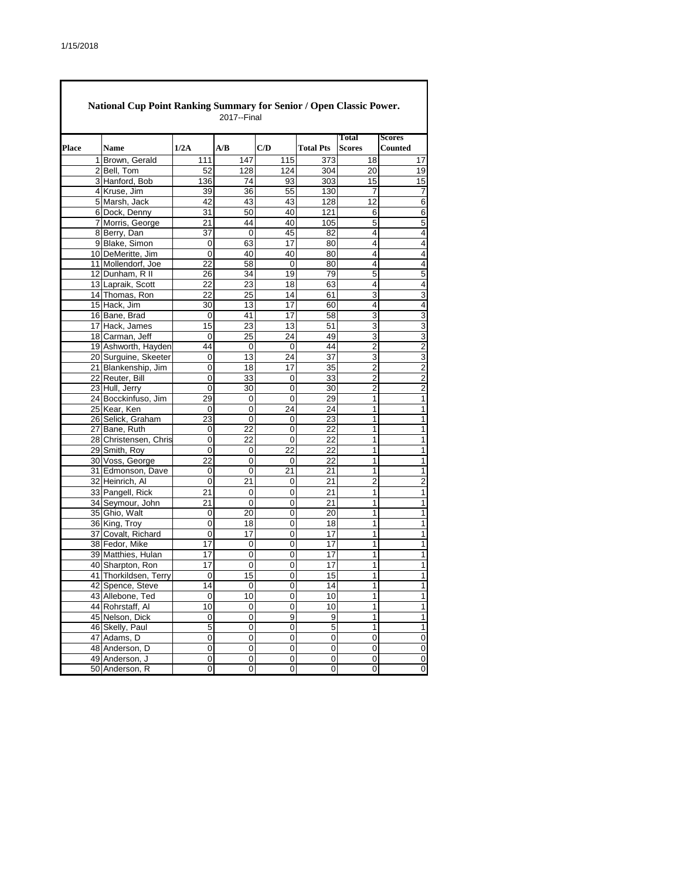|       | National Cup Point Ranking Summary for Senior / Open Classic Power.<br>2017--Final |                       |                |     |     |                  |                         |                                 |  |  |  |  |
|-------|------------------------------------------------------------------------------------|-----------------------|----------------|-----|-----|------------------|-------------------------|---------------------------------|--|--|--|--|
| Place |                                                                                    | Name                  | 1/2A           | A/B | C/D | <b>Total Pts</b> | Total<br><b>Scores</b>  | <b>Scores</b><br><b>Counted</b> |  |  |  |  |
|       |                                                                                    | 1 Brown, Gerald       | 111            | 147 | 115 | 373              | 18                      | 17                              |  |  |  |  |
|       |                                                                                    | 2 Bell, Tom           | 52             | 128 | 124 | 304              | 20                      | 19                              |  |  |  |  |
|       |                                                                                    | 3 Hanford, Bob        | 136            | 74  | 93  | 303              | 15                      | 15                              |  |  |  |  |
|       |                                                                                    | 4 Kruse, Jim          | 39             | 36  | 55  | 130              | 7                       | 7                               |  |  |  |  |
|       |                                                                                    | 5 Marsh, Jack         | 42             | 43  | 43  | 128              | 12                      | 6                               |  |  |  |  |
|       |                                                                                    | 6 Dock, Denny         | 31             | 50  | 40  | 121              | 6                       | 6                               |  |  |  |  |
|       |                                                                                    | 7 Morris, George      | 21             | 44  | 40  | 105              | 5                       | 5                               |  |  |  |  |
|       |                                                                                    | 8 Berry, Dan          | 37             | 0   | 45  | 82               | 4                       | 4                               |  |  |  |  |
|       |                                                                                    | 9 Blake, Simon        | $\mathbf 0$    | 63  | 17  | 80               | 4                       | $\overline{4}$                  |  |  |  |  |
|       |                                                                                    | 10 DeMeritte, Jim     | $\mathbf 0$    | 40  | 40  | 80               | 4                       | 4                               |  |  |  |  |
|       |                                                                                    | 11 Mollendorf, Joe    | 22             | 58  | 0   | 80               | 4                       | 4                               |  |  |  |  |
|       |                                                                                    | 12 Dunham, R II       | 26             | 34  | 19  | 79               | 5                       | 5                               |  |  |  |  |
|       |                                                                                    | 13 Lapraik, Scott     | 22             | 23  | 18  | 63               | 4                       | 4                               |  |  |  |  |
|       |                                                                                    | 14 Thomas, Ron        | 22             | 25  | 14  | 61               | 3                       | 3                               |  |  |  |  |
|       |                                                                                    | 15 Hack, Jim          | 30             | 13  | 17  | 60               | $\overline{\mathbf{4}}$ | 4                               |  |  |  |  |
|       |                                                                                    | 16 Bane, Brad         | 0              | 41  | 17  | 58               | 3                       | 3                               |  |  |  |  |
|       |                                                                                    | 17 Hack, James        | 15             | 23  | 13  | 51               | 3                       | 3                               |  |  |  |  |
|       |                                                                                    | 18 Carman, Jeff       | 0              | 25  | 24  | 49               | 3                       | 3                               |  |  |  |  |
|       |                                                                                    | 19 Ashworth, Hayden   | 44             | 0   | 0   | 44               | $\overline{2}$          | $\overline{2}$                  |  |  |  |  |
|       |                                                                                    | 20 Surguine, Skeeter  | $\mathbf 0$    | 13  | 24  | 37               | 3                       | 3                               |  |  |  |  |
|       |                                                                                    | 21 Blankenship, Jim   | $\overline{0}$ | 18  | 17  | 35               | $\overline{2}$          | $\overline{2}$                  |  |  |  |  |
|       |                                                                                    | 22 Reuter, Bill       | 0              | 33  | 0   | 33               | 2                       | $\overline{2}$                  |  |  |  |  |
|       |                                                                                    | 23 Hull, Jerry        | $\overline{0}$ | 30  | 0   | $\overline{30}$  | $\overline{2}$          | $\overline{2}$                  |  |  |  |  |
|       |                                                                                    | 24 Bocckinfuso, Jim   | 29             | 0   | 0   | 29               | 1                       | 1                               |  |  |  |  |
|       |                                                                                    | 25 Kear, Ken          | $\mathbf 0$    | 0   | 24  | 24               | 1                       | 1                               |  |  |  |  |
|       |                                                                                    | 26 Selick, Graham     | 23             | 0   | 0   | 23               | 1                       | 1                               |  |  |  |  |
|       |                                                                                    | 27 Bane, Ruth         | 0              | 22  | 0   | 22               | 1                       | 1                               |  |  |  |  |
|       |                                                                                    | 28 Christensen, Chris | 0              | 22  | 0   | 22               | 1                       | 1                               |  |  |  |  |
|       |                                                                                    | 29 Smith, Roy         | $\Omega$       | 0   | 22  | 22               | 1                       | $\mathbf{1}$                    |  |  |  |  |
|       |                                                                                    | 30 Voss, George       | 22             | 0   | 0   | 22               | 1                       | 1                               |  |  |  |  |
|       |                                                                                    | 31 Edmonson, Dave     | 0              | 0   | 21  | 21               | 1                       | 1                               |  |  |  |  |
|       |                                                                                    | 32 Heinrich, Al       | 0              | 21  | 0   | 21               | 2                       | 2                               |  |  |  |  |
|       |                                                                                    | 33 Pangell, Rick      | 21             | 0   | 0   | 21               | 1                       | 1                               |  |  |  |  |
|       |                                                                                    | 34 Seymour, John      | 21             | 0   | 0   | 21               | 1                       | 1                               |  |  |  |  |
|       |                                                                                    | 35 Ghio, Walt         | 0              | 20  | 0   | 20               | 1                       | 1                               |  |  |  |  |
|       |                                                                                    | 36 King, Troy         | $\mathbf 0$    | 18  | 0   | 18               | 1                       | 1                               |  |  |  |  |
|       |                                                                                    | 37 Covalt, Richard    | 0              | 17  | 0   | 17               | 1                       | 1                               |  |  |  |  |
|       |                                                                                    | 38 Fedor, Mike        | 17             | 0   | 0   | 17               | 1                       | 1                               |  |  |  |  |
|       |                                                                                    | 39 Matthies, Hulan    | 17             | 0   | 0   | 17               | 1                       | 1                               |  |  |  |  |
|       |                                                                                    | 40 Sharpton, Ron      | 17             | 0   | 0   | 17               | 1                       | 1                               |  |  |  |  |
|       |                                                                                    | 41 Thorkildsen, Terry | $\Omega$       | 15  | 0   | 15               | 1                       | 1                               |  |  |  |  |
|       |                                                                                    | 42 Spence, Steve      | 14             | 0   | 0   | 14               | 1                       | 1                               |  |  |  |  |
|       |                                                                                    | 43 Allebone, Ted      | 0              | 10  | 0   | 10               | 1                       | $\mathbf 1$                     |  |  |  |  |
|       |                                                                                    | 44 Rohrstaff, Al      | 10             | 0   | 0   | 10               | 1                       | $\mathbf 1$                     |  |  |  |  |
|       |                                                                                    | 45 Nelson, Dick       | 0              | 0   | 9   | 9                | 1                       | 1                               |  |  |  |  |
|       |                                                                                    | 46 Skelly, Paul       | 5              | 0   | 0   | 5                | $\mathbf 1$             | $\mathbf 1$                     |  |  |  |  |
|       |                                                                                    | 47 Adams, D           | 0              | 0   | 0   | 0                | 0                       | 0                               |  |  |  |  |
|       |                                                                                    | 48 Anderson, D        | 0              | 0   | 0   | $\pmb{0}$        | $\pmb{0}$               | $\mathbf 0$                     |  |  |  |  |
|       |                                                                                    | 49 Anderson, J        | 0              | 0   | 0   | 0                | 0                       | 0                               |  |  |  |  |
|       |                                                                                    | 50 Anderson, R        | 0              | 0   | 0   | $\pmb{0}$        | 0                       | 0                               |  |  |  |  |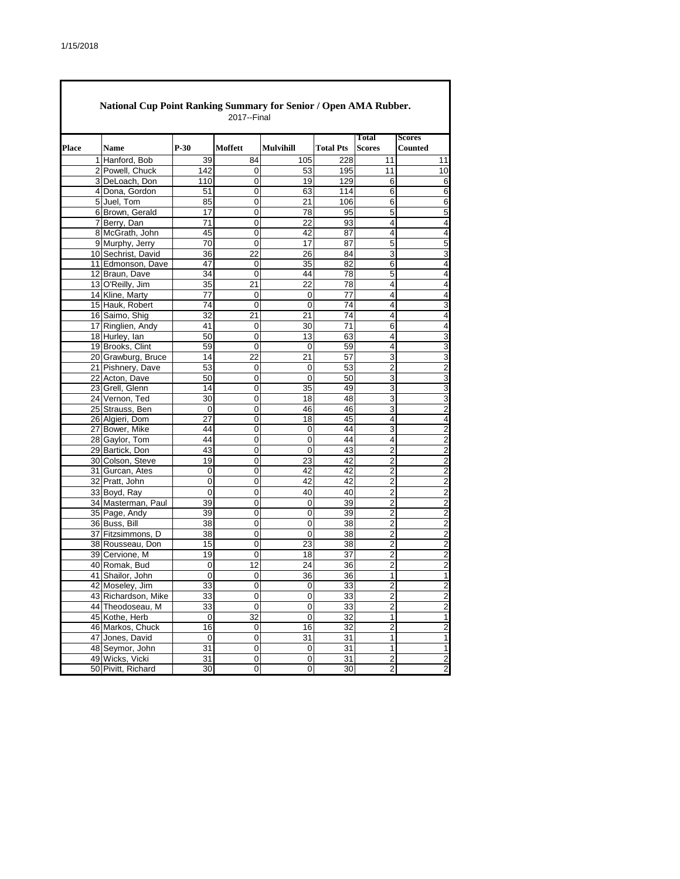|       | National Cup Point Ranking Summary for Senior / Open AMA Rubber.<br>2017--Final |                |                |                  |                  |                         |                                 |  |  |  |  |  |
|-------|---------------------------------------------------------------------------------|----------------|----------------|------------------|------------------|-------------------------|---------------------------------|--|--|--|--|--|
| Place | <b>Name</b>                                                                     | $P-30$         | Moffett        | <b>Mulvihill</b> | <b>Total Pts</b> | Total<br><b>Scores</b>  | <b>Scores</b><br><b>Counted</b> |  |  |  |  |  |
|       | 1 Hanford, Bob                                                                  |                | 84             | 105              | 228              | 11                      |                                 |  |  |  |  |  |
|       | 2 Powell, Chuck                                                                 | 39<br>142      | 0              | 53               | 195              | 11                      | 11<br>10                        |  |  |  |  |  |
|       | 3 DeLoach, Don                                                                  | 110            | 0              | 19               | 129              | 6                       | 6                               |  |  |  |  |  |
|       | 4 Dona, Gordon                                                                  | 51             | 0              | 63               | 114              | 6                       | 6                               |  |  |  |  |  |
|       | 5 Juel, Tom                                                                     | 85             | 0              | 21               | 106              | 6                       | 6                               |  |  |  |  |  |
|       | 6 Brown, Gerald                                                                 | 17             | 0              | 78               | 95               | 5                       | 5                               |  |  |  |  |  |
|       | 7 Berry, Dan                                                                    | 71             | $\overline{0}$ | 22               | 93               | $\overline{4}$          | 4                               |  |  |  |  |  |
|       | 8 McGrath, John                                                                 | 45             | 0              | 42               | 87               | 4                       | 4                               |  |  |  |  |  |
|       | 9 Murphy, Jerry                                                                 | 70             | $\Omega$       | 17               | 87               | 5                       | 5                               |  |  |  |  |  |
|       | 10 Sechrist, David                                                              | 36             | 22             | 26               | 84               | 3                       | 3                               |  |  |  |  |  |
|       | 11 Edmonson, Dave                                                               | 47             | 0              | 35               | 82               | 6                       | 4                               |  |  |  |  |  |
|       | 12 Braun, Dave                                                                  | 34             | 0              | 44               | 78               | 5                       | 4                               |  |  |  |  |  |
|       | 13 O'Reilly, Jim                                                                | 35             | 21             | 22               | 78               | $\overline{4}$          | 4                               |  |  |  |  |  |
|       | 14 Kline, Marty                                                                 | 77             | 0              | 0                | 77               | $\overline{\mathbf{4}}$ | 4                               |  |  |  |  |  |
|       | 15 Hauk, Robert                                                                 | 74             | 0              | 0                | 74               | $\overline{\mathbf{4}}$ | 3                               |  |  |  |  |  |
|       | 16 Saimo, Shig                                                                  | 32             | 21             | 21               | 74               | 4                       | 4                               |  |  |  |  |  |
|       | 17 Ringlien, Andy                                                               | 41             | 0              | 30               | 71               | 6                       | 4                               |  |  |  |  |  |
|       | 18 Hurley, Ian                                                                  | 50             | 0              | 13               | 63               | 4                       | 3                               |  |  |  |  |  |
|       | 19 Brooks, Clint                                                                | 59             | 0              | 0                | 59               | 4                       | 3                               |  |  |  |  |  |
|       | 20 Grawburg, Bruce                                                              | 14             | 22             | 21               | 57               | $\overline{3}$          | 3                               |  |  |  |  |  |
|       | 21 Pishnery, Dave                                                               | 53             | 0              | 0                | 53               | $\overline{2}$          | $\overline{2}$                  |  |  |  |  |  |
|       | 22 Acton, Dave                                                                  | 50             | 0              | 0                | 50               | 3                       | 3                               |  |  |  |  |  |
|       | 23 Grell, Glenn                                                                 | 14             | 0              | 35               | 49               | $\overline{3}$          | 3                               |  |  |  |  |  |
|       | 24 Vernon, Ted                                                                  | 30             | 0              | 18               | 48               | 3                       | 3                               |  |  |  |  |  |
|       | 25 Strauss, Ben                                                                 | $\mathbf 0$    | $\overline{0}$ | 46               | 46               | $\overline{3}$          | $\overline{2}$                  |  |  |  |  |  |
|       | 26 Algieri, Dom                                                                 | 27             | 0              | 18               | 45               | 4                       | 4                               |  |  |  |  |  |
|       | 27 Bower, Mike                                                                  | 44             | 0              | 0                | 44               | 3                       | 2                               |  |  |  |  |  |
|       | 28 Gaylor, Tom                                                                  | 44             | 0              | 0                | 44               | 4                       | 2                               |  |  |  |  |  |
|       | 29 Bartick, Don                                                                 | 43             | 0              | 0                | 43               | $\overline{2}$          | $\overline{2}$                  |  |  |  |  |  |
|       | 30 Colson, Steve                                                                | 19             | 0              | 23               | 42               | 2                       | 2                               |  |  |  |  |  |
|       | 31 Gurcan, Ates                                                                 | 0              | 0              | 42               | 42               | $\overline{2}$          | $\overline{2}$                  |  |  |  |  |  |
|       | 32 Pratt, John                                                                  | 0              | 0              | 42               | 42               | $\overline{2}$          | 2                               |  |  |  |  |  |
|       | 33 Boyd, Ray                                                                    | 0              | 0              | 40               | 40               | 2                       | $\overline{2}$                  |  |  |  |  |  |
|       | 34 Masterman, Paul                                                              | 39             | 0              | 0                | 39               | $\overline{2}$          | $\overline{2}$                  |  |  |  |  |  |
|       | 35 Page, Andy                                                                   | 39             | 0              | 0                | 39               | $\overline{2}$          | $\overline{2}$                  |  |  |  |  |  |
|       | 36 Buss, Bill                                                                   | 38             | 0              | 0                | 38               | $\overline{2}$          | $\overline{2}$                  |  |  |  |  |  |
|       | 37 Fitzsimmons, D                                                               | 38             | 0              | 0                | 38               | $\overline{2}$          | $\overline{c}$                  |  |  |  |  |  |
|       | 38 Rousseau, Don                                                                | 15             | 0              | 23               | 38               | $\overline{2}$          | $\overline{2}$                  |  |  |  |  |  |
|       | 39 Cervione, M                                                                  | 19             | 0              | 18               | 37               | $\overline{2}$          | $\overline{2}$                  |  |  |  |  |  |
|       | 40 Romak, Bud                                                                   | 0              | 12             | 24               | 36               | $\overline{c}$          | $\overline{2}$                  |  |  |  |  |  |
|       | 41 Shailor, John                                                                | $\overline{0}$ | 0              | $\overline{36}$  | 36               | 1                       | $\mathbf{1}$                    |  |  |  |  |  |
|       | 42 Moseley, Jim                                                                 | 33             | $\pmb{0}$      | $\pmb{0}$        | 33               | $\overline{2}$          | $\overline{\mathbf{c}}$         |  |  |  |  |  |
|       | 43 Richardson, Mike                                                             | 33             | 0              | 0                | 33               | $\mathbf 2$             | $\overline{c}$                  |  |  |  |  |  |
|       | 44 Theodoseau, M                                                                | 33             | $\pmb{0}$      | 0                | 33               | $\mathbf 2$             | $\overline{c}$                  |  |  |  |  |  |
|       | 45 Kothe, Herb                                                                  | 0              | 32             | 0                | 32               | 1                       | 1                               |  |  |  |  |  |
|       | 46 Markos, Chuck                                                                | 16             | 0              | 16               | 32               | $\overline{c}$          | $\overline{2}$                  |  |  |  |  |  |
|       | 47 Jones, David                                                                 | 0              | 0              | 31               | 31               | $\mathbf{1}$            | 1                               |  |  |  |  |  |
|       | 48 Seymor, John                                                                 | 31             | $\mathbf 0$    | 0                | 31               | 1                       | $\mathbf{1}$                    |  |  |  |  |  |
|       | 49 Wicks, Vicki                                                                 | 31             | 0              | 0                | 31               | $\overline{2}$          | $\overline{\mathbf{c}}$         |  |  |  |  |  |
|       | 50 Pivitt, Richard                                                              | 30             | 0              | 0                | 30               | $\overline{2}$          | $\overline{2}$                  |  |  |  |  |  |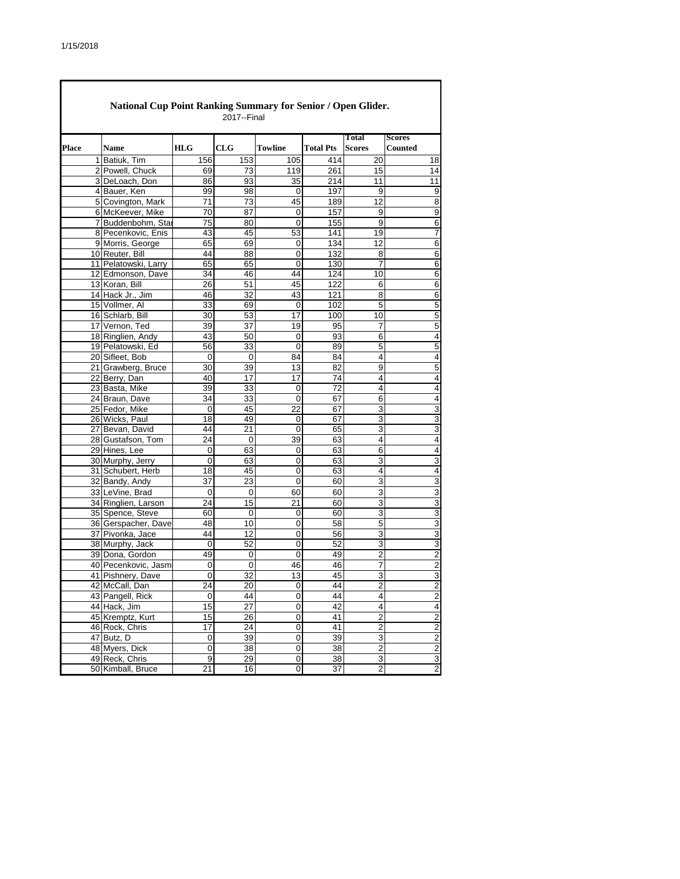|       | National Cup Point Ranking Summary for Senior / Open Glider.<br>2017--Final |                 |                 |             |                  |                               |                          |  |  |  |  |  |
|-------|-----------------------------------------------------------------------------|-----------------|-----------------|-------------|------------------|-------------------------------|--------------------------|--|--|--|--|--|
| Place | <b>Name</b>                                                                 | <b>HLG</b>      | CLG             | Towline     | <b>Total Pts</b> | <b>Total</b><br><b>Scores</b> | <b>Scores</b><br>Counted |  |  |  |  |  |
|       | 1 Batiuk, Tim                                                               | 156             | 153             | 105         | 414              | 20                            | 18                       |  |  |  |  |  |
|       | 2 Powell, Chuck                                                             | 69              | 73              | 119         | 261              | 15                            | 14                       |  |  |  |  |  |
|       | 3 DeLoach, Don                                                              | 86              | 93              | 35          | 214              | 11                            | 11                       |  |  |  |  |  |
|       | 4 Bauer, Ken                                                                | 99              | 98              | 0           | 197              | 9                             | 9                        |  |  |  |  |  |
|       | 5 Covington, Mark                                                           | 71              | $\overline{73}$ | 45          | 189              | 12                            | 8                        |  |  |  |  |  |
|       | 6 McKeever, Mike                                                            | 70              | 87              | 0           | 157              | 9                             | 9                        |  |  |  |  |  |
|       | 7 Buddenbohm, Star                                                          | $\overline{75}$ | 80              | $\mathbf 0$ | 155              | 9                             | 6                        |  |  |  |  |  |
|       | 8 Pecenkovic, Enis                                                          | 43              | 45              | 53          | 141              | 19                            | 7                        |  |  |  |  |  |
|       | 9 Morris, George                                                            | 65              | 69              | 0           | 134              | $\overline{12}$               | 6                        |  |  |  |  |  |
|       | 10 Reuter, Bill                                                             | 44              | 88              | 0           | 132              | 8                             | 6                        |  |  |  |  |  |
|       | 11 Pelatowski, Larry                                                        | 65              | 65              | 0           | 130              | 7                             | 6                        |  |  |  |  |  |
|       | 12 Edmonson, Dave                                                           | 34              | 46              | 44          | 124              | 10                            | 6                        |  |  |  |  |  |
|       | 13 Koran, Bill                                                              | 26              | 51              | 45          | 122              | 6                             | 6                        |  |  |  |  |  |
|       | 14 Hack Jr., Jim                                                            | 46              | 32              | 43          | 121              | 8                             | 6                        |  |  |  |  |  |
|       | 15 Vollmer, Al                                                              | 33              | 69              | 0           | 102              | 5                             | 5                        |  |  |  |  |  |
|       | 16 Schlarb, Bill                                                            | 30              | 53              | 17          | 100              | 10                            | 5                        |  |  |  |  |  |
|       | 17 Vernon, Ted                                                              | 39              | 37              | 19          | 95               | 7                             | 5                        |  |  |  |  |  |
|       | 18 Ringlien, Andy                                                           | 43              | 50              | $\mathbf 0$ | 93               | 6                             | 4                        |  |  |  |  |  |
|       | 19 Pelatowski, Ed                                                           | 56              | 33              | 0           | 89               | 5                             | 5                        |  |  |  |  |  |
|       | 20 Sifleet, Bob                                                             | 0               | 0               | 84          | 84               | 4                             | 4                        |  |  |  |  |  |
|       | 21 Grawberg, Bruce                                                          | 30              | 39              | 13          | 82               | 9                             | 5                        |  |  |  |  |  |
|       | 22 Berry, Dan                                                               | 40              | 17              | 17          | 74               | 4                             | 4                        |  |  |  |  |  |
|       | 23 Basta, Mike                                                              | 39              | 33              | 0           | 72               | 4                             | 4                        |  |  |  |  |  |
|       | 24 Braun, Dave                                                              | 34              | 33              | 0           | 67               | 6                             | 4                        |  |  |  |  |  |
|       | 25 Fedor, Mike                                                              | $\mathbf 0$     | 45              | 22          | 67               | 3                             | 3                        |  |  |  |  |  |
|       | 26 Wicks, Paul                                                              | 18              | 49              | 0           | 67               | 3                             | 3                        |  |  |  |  |  |
|       | 27 Bevan, David                                                             | 44              | 21              | $\mathbf 0$ | 65               | 3                             | 3                        |  |  |  |  |  |
|       | 28 Gustafson, Tom                                                           | 24              | $\mathbf 0$     | 39          | 63               | 4                             | 4                        |  |  |  |  |  |
|       | 29 Hines, Lee                                                               | 0               | 63              | 0           | 63               | 6                             | 4                        |  |  |  |  |  |
|       | 30 Murphy, Jerry                                                            | 0               | 63              | $\mathbf 0$ | 63               | 3                             | 3                        |  |  |  |  |  |
|       | 31 Schubert, Herb                                                           | 18              | 45              | 0           | 63               | 4                             | $\overline{4}$           |  |  |  |  |  |
|       | 32 Bandy, Andy                                                              | 37              | 23              | 0           | 60               | 3                             | 3                        |  |  |  |  |  |
|       | 33 LeVine, Brad                                                             | 0               | 0               | 60          | 60               | 3                             | 3                        |  |  |  |  |  |
|       | 34 Ringlien, Larson                                                         | 24              | 15              | 21          | 60               | $\overline{3}$                | 3                        |  |  |  |  |  |
|       | 35 Spence, Steve                                                            | 60              | 0               | 0           | 60               | 3                             | 3                        |  |  |  |  |  |
|       | 36 Gerspacher, Dave                                                         | 48<br>44        | 10              | 0           | 58               | 5                             | 3                        |  |  |  |  |  |
|       | 37 Pivonka, Jace                                                            |                 | 12              | 0           | 56               | 3                             | 3                        |  |  |  |  |  |
|       | 38 Murphy, Jack                                                             | $\mathbf 0$     | 52              | 0           | 52               | 3                             | 3                        |  |  |  |  |  |
|       | 39 Dona, Gordon                                                             | 49              | 0               | 0           | 49               | $\overline{2}$                | $\overline{c}$           |  |  |  |  |  |
|       | 40 Pecenkovic, Jasm                                                         | 0               | 0               | 46          | 46               | 7                             | $\overline{\mathbf{c}}$  |  |  |  |  |  |
|       | 41 Pishnery, Dave                                                           | 0<br>24         | $\overline{32}$ | 13          | 45<br>44         | 3<br>$\overline{2}$           | 3                        |  |  |  |  |  |
|       | 42 McCall, Dan                                                              |                 | 20              | 0           |                  |                               | $\overline{c}$           |  |  |  |  |  |
|       | 43 Pangell, Rick<br>44 Hack, Jim                                            | 0               | 44<br>27        | 0<br>0      | 44<br>42         | 4<br>4                        | $\overline{c}$           |  |  |  |  |  |
|       |                                                                             | 15<br>15        |                 |             |                  | $\overline{c}$                | 4                        |  |  |  |  |  |
|       | 45 Kremptz, Kurt                                                            | 17              | 26<br>24        | 0<br>0      | 41<br>41         | $\overline{\mathbf{c}}$       | $\overline{c}$           |  |  |  |  |  |
|       | 46 Rock, Chris<br>47 Butz, D                                                |                 |                 |             |                  |                               | $\overline{2}$           |  |  |  |  |  |
|       |                                                                             | 0               | 39              | 0           | 39               | 3<br>$\overline{2}$           | $\overline{\mathbf{c}}$  |  |  |  |  |  |
|       | 48 Myers, Dick<br>49 Reck, Chris                                            | 0               | 38              | 0           | 38               |                               | $\overline{2}$           |  |  |  |  |  |
|       | 50 Kimball, Bruce                                                           | 9<br>21         | 29              | 0           | 38<br>37         | 3                             | 3<br>$\overline{2}$      |  |  |  |  |  |
|       |                                                                             |                 | 16              | 0           |                  | 2                             |                          |  |  |  |  |  |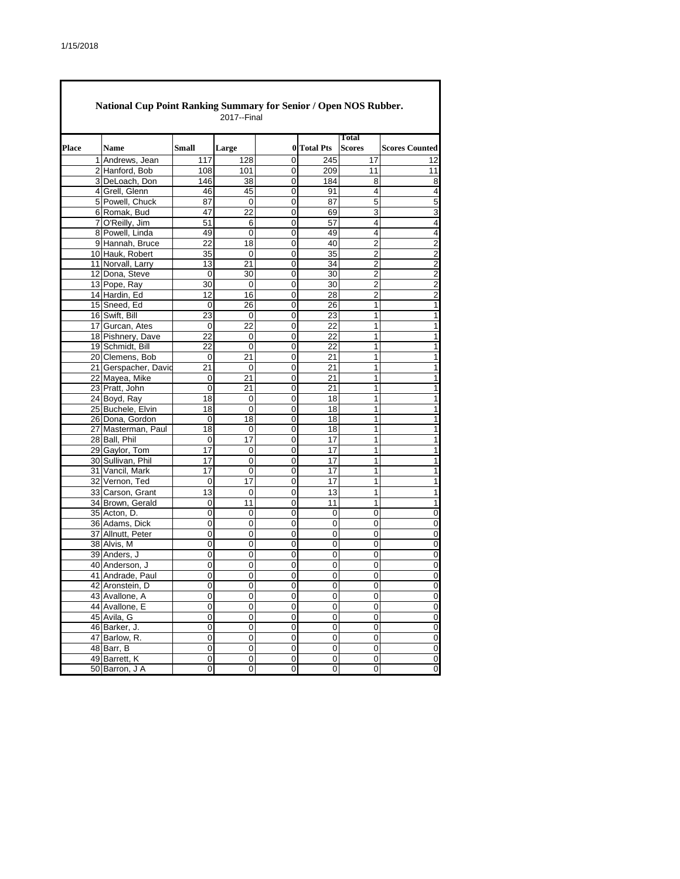|       | National Cup Point Ranking Summary for Senior / Open NOS Rubber.<br>2017--Final |       |       |             |                  |                               |                         |  |  |  |  |
|-------|---------------------------------------------------------------------------------|-------|-------|-------------|------------------|-------------------------------|-------------------------|--|--|--|--|
| Place | <b>Name</b>                                                                     | Small | Large | 0           | <b>Total Pts</b> | <b>Total</b><br><b>Scores</b> | <b>Scores Counted</b>   |  |  |  |  |
|       | 1 Andrews, Jean                                                                 | 117   | 128   | 0           | 245              | 17                            | 12                      |  |  |  |  |
|       | 2 Hanford, Bob                                                                  | 108   | 101   | 0           | 209              | 11                            | 11                      |  |  |  |  |
|       | 3 DeLoach, Don                                                                  | 146   | 38    | 0           | 184              | 8                             | $\overline{8}$          |  |  |  |  |
|       | 4 Grell, Glenn                                                                  | 46    | 45    | 0           | 91               | 4                             | 4                       |  |  |  |  |
|       | 5 Powell. Chuck                                                                 | 87    | 0     | 0           | 87               | 5                             | 5                       |  |  |  |  |
|       | 6 Romak, Bud                                                                    | 47    | 22    | 0           | 69               | 3                             | 3                       |  |  |  |  |
|       | 7 O'Reilly, Jim                                                                 | 51    | 6     | 0           | 57               | 4                             | 4                       |  |  |  |  |
|       | 8 Powell. Linda                                                                 | 49    | 0     | 0           | 49               | 4                             | 4                       |  |  |  |  |
|       | 9 Hannah, Bruce                                                                 | 22    | 18    | 0           | 40               | $\overline{2}$                |                         |  |  |  |  |
|       | 10 Hauk, Robert                                                                 | 35    | 0     | 0           | 35               | $\overline{2}$                | $\frac{2}{2}$           |  |  |  |  |
|       | 11 Norvall, Larry                                                               | 13    | 21    | 0           | 34               | 2                             | $\overline{2}$          |  |  |  |  |
|       | 12 Dona, Steve                                                                  | 0     | 30    | 0           | 30               | 2                             | $\overline{2}$          |  |  |  |  |
|       | 13 Pope, Ray                                                                    | 30    | 0     | 0           | 30               | $\overline{2}$                | $\overline{2}$          |  |  |  |  |
|       |                                                                                 | 12    | 16    | 0           | 28               | $\overline{2}$                |                         |  |  |  |  |
|       | 14 Hardin, Ed                                                                   |       |       |             |                  |                               | $\overline{2}$          |  |  |  |  |
|       | 15 Sneed, Ed                                                                    | 0     | 26    | 0           | 26               | 1                             | 1                       |  |  |  |  |
|       | 16 Swift, Bill                                                                  | 23    | 0     | 0           | 23               | 1                             | 1                       |  |  |  |  |
|       | 17 Gurcan, Ates                                                                 | 0     | 22    | 0           | 22               | 1                             | 1                       |  |  |  |  |
|       | 18 Pishnery, Dave                                                               | 22    | 0     | 0           | 22               | 1                             | 1                       |  |  |  |  |
|       | 19 Schmidt. Bill                                                                | 22    | 0     | 0           | 22               | 1                             | 1                       |  |  |  |  |
|       | 20 Clemens, Bob                                                                 | 0     | 21    | 0           | 21               | 1                             | 1                       |  |  |  |  |
|       | 21 Gerspacher, David                                                            | 21    | 0     | 0           | 21               | 1                             | 1                       |  |  |  |  |
|       | 22 Mayea, Mike                                                                  | 0     | 21    | 0           | 21               | 1                             | 1                       |  |  |  |  |
|       | 23 Pratt, John                                                                  | 0     | 21    | 0           | 21               | 1                             | 1                       |  |  |  |  |
|       | 24 Boyd, Ray                                                                    | 18    | 0     | 0           | 18               | 1                             | 1                       |  |  |  |  |
|       | 25 Buchele, Elvin                                                               | 18    | 0     | 0           | 18               | 1                             | 1                       |  |  |  |  |
|       | 26 Dona, Gordon                                                                 | 0     | 18    | 0           | 18               | 1                             | 1                       |  |  |  |  |
|       | 27 Masterman, Paul                                                              | 18    | 0     | 0           | 18               | 1                             | 1                       |  |  |  |  |
|       | 28 Ball, Phil                                                                   | 0     | 17    | 0           | 17               | 1                             | 1                       |  |  |  |  |
|       | 29 Gaylor, Tom                                                                  | 17    | 0     | 0           | 17               | 1                             | 1                       |  |  |  |  |
|       | 30 Sullivan, Phil                                                               | 17    | 0     | 0           | 17               | 1                             | 1                       |  |  |  |  |
|       | 31 Vancil, Mark                                                                 | 17    | 0     | 0           | 17               | 1                             | 1                       |  |  |  |  |
|       | 32 Vernon, Ted                                                                  | 0     | 17    | 0           | 17               | 1                             | 1                       |  |  |  |  |
|       | 33 Carson, Grant                                                                | 13    | 0     | 0           | 13               | 1                             | 1                       |  |  |  |  |
|       | 34 Brown, Gerald                                                                | 0     | 11    | 0           | 11               | 1                             | $\overline{1}$          |  |  |  |  |
|       | 35 Acton, D.                                                                    | 0     | 0     | 0           | $\Omega$         | 0                             | $\overline{0}$          |  |  |  |  |
|       | 36 Adams, Dick                                                                  | 0     | 0     | 0           | 0                | 0                             | $\overline{0}$          |  |  |  |  |
|       | 37 Allnutt, Peter                                                               | 0     | 0     | 0           | 0                | 0                             | $\overline{0}$          |  |  |  |  |
|       | 38 Alvis, M                                                                     | 0     | 0     | 0           | 0                | 0                             | $\overline{0}$          |  |  |  |  |
|       | 39 Anders, J                                                                    | 0     | 0     | 0           | 0                | 0                             |                         |  |  |  |  |
|       |                                                                                 |       |       |             |                  |                               | $\overline{0}$          |  |  |  |  |
|       | 40 Anderson, J                                                                  | 0     | 0     | 0           | 0                | 0                             | $\mathbf 0$             |  |  |  |  |
|       | 41 Andrade, Paul                                                                | 0     | 0     | 0           | 0                | 0                             | 0                       |  |  |  |  |
|       | 42 Aronstein, D                                                                 | 0     | 0     | 0           | 0                | 0                             | $\overline{\mathbf{0}}$ |  |  |  |  |
|       | 43 Avallone, A                                                                  | 0     | 0     | 0           | 0                | 0                             | $\overline{\mathbf{0}}$ |  |  |  |  |
|       | 44 Avallone, E                                                                  | 0     | 0     | 0           | 0                | 0                             | $\overline{0}$          |  |  |  |  |
|       | 45 Avila, G                                                                     | 0     | 0     | 0           | 0                | 0                             | $\overline{\mathbf{0}}$ |  |  |  |  |
|       | 46 Barker, J.                                                                   | 0     | 0     | $\mathbf 0$ | $\mathbf 0$      | 0                             | $\pmb{0}$               |  |  |  |  |
|       | 47 Barlow, R.                                                                   | 0     | 0     | $\pmb{0}$   | 0                | 0                             | $\overline{0}$          |  |  |  |  |
|       | 48 Barr, B                                                                      | 0     | 0     | $\pmb{0}$   | $\pmb{0}$        | $\pmb{0}$                     | $\overline{\mathbf{0}}$ |  |  |  |  |
|       | 49 Barrett, K                                                                   | 0     | 0     | 0           | 0                | 0                             | $\overline{0}$          |  |  |  |  |
|       | 50 Barron, J A                                                                  | 0     | 0     | 0           | 0                | 0                             | 0                       |  |  |  |  |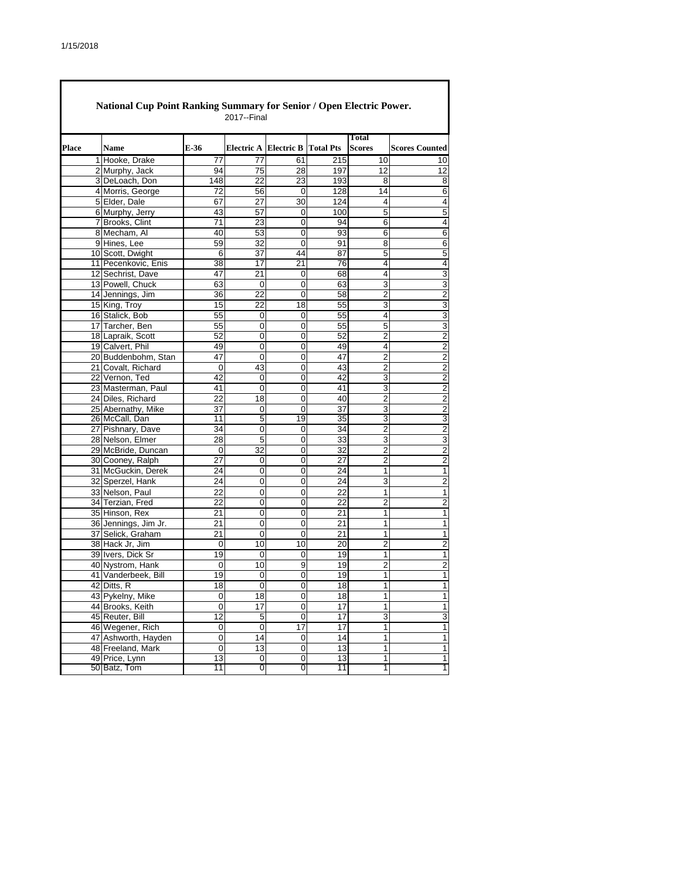| Place | Name                                 | E-36            |                 | Electric A Electric B Total Pts |          | Total<br><b>Scores</b> | <b>Scores Counted</b>            |
|-------|--------------------------------------|-----------------|-----------------|---------------------------------|----------|------------------------|----------------------------------|
|       | 1 Hooke, Drake                       | 77              | 77              | 61                              | 215      | 10                     | 10                               |
|       | 2 Murphy, Jack                       | 94              | 75              | 28                              | 197      | 12                     | 12                               |
|       | 3 DeLoach, Don                       | 148             | 22              | 23                              | 193      | 8                      | 8                                |
|       | 4 Morris, George                     | $\overline{72}$ | 56              | $\mathbf 0$                     | 128      | 14                     | 6                                |
|       | 5 Elder, Dale                        | 67              | 27              | 30                              | 124      | 4                      | 4                                |
|       | 6 Murphy, Jerry                      | 43              | 57              | 0                               | 100      | 5                      | 5                                |
|       | 7 Brooks, Clint                      | 71              | 23              | 0                               | 94       | 6                      | 4                                |
|       | 8 Mecham, Al                         | 40              | 53              | 0                               | 93       | 6                      | 6                                |
|       | 9 Hines, Lee                         | 59              | 32              | 0                               | 91       | 8                      | 6                                |
|       | 10 Scott, Dwight                     | 6               | 37              | 44                              | 87       | 5                      | 5                                |
|       | 11 Pecenkovic, Enis                  | 38              | 17              | 21                              | 76       | 4                      | 4                                |
|       | 12 Sechrist, Dave                    | 47              | 21              | 0                               | 68       | 4                      | 3                                |
|       | 13 Powell, Chuck                     | 63              | 0               | 0                               | 63       | 3                      | 3                                |
|       | 14 Jennings, Jim                     | 36              | $\overline{22}$ | 0                               | 58       | $\overline{c}$         | $\overline{c}$                   |
|       | 15 King, Troy                        | 15              | 22              | 18                              | 55       | 3                      | 3                                |
|       | 16 Stalick, Bob                      | 55              | 0               | 0                               | 55       | 4                      | 3                                |
|       | 17 Tarcher, Ben                      | 55              | 0               | 0                               | 55       | 5                      | 3                                |
|       | 18 Lapraik, Scott                    | 52              | 0               | 0                               | 52       | $\overline{2}$         | $\overline{2}$                   |
|       | 19 Calvert, Phil                     | 49<br>47        | 0<br>0          | 0<br>$\mathbf 0$                | 49<br>47 | 4<br>$\overline{2}$    | 2                                |
|       | 20 Buddenbohm, Stan                  |                 |                 |                                 |          |                        | $\overline{2}$                   |
|       | 21 Covalt, Richard                   | 0<br>42         | 43<br>0         | 0<br>0                          | 43<br>42 | 2<br>3                 | $\overline{c}$<br>$\overline{2}$ |
|       | 22 Vernon, Ted<br>23 Masterman, Paul | 41              | 0               | 0                               | 41       | 3                      | 2                                |
|       | 24 Diles, Richard                    | 22              | 18              | 0                               | 40       | $\overline{2}$         | $\overline{2}$                   |
|       | 25 Abernathy, Mike                   | 37              | 0               | 0                               | 37       | 3                      | 2                                |
|       | 26 McCall, Dan                       | 11              | 5               | 19                              | 35       | 3                      | 3                                |
|       | 27 Pishnary, Dave                    | 34              | 0               | 0                               | 34       | $\overline{c}$         | 2                                |
|       | 28 Nelson, Elmer                     | 28              | 5               | 0                               | 33       | 3                      | 3                                |
|       | 29 McBride, Duncan                   | 0               | 32              | 0                               | 32       | $\overline{2}$         | 2                                |
|       | 30 Cooney, Ralph                     | 27              | 0               | 0                               | 27       | 2                      | $\overline{2}$                   |
|       | 31 McGuckin, Derek                   | 24              | 0               | 0                               | 24       | 1                      | 1                                |
|       | 32 Sperzel, Hank                     | 24              | 0               | 0                               | 24       | 3                      | $\overline{c}$                   |
|       | 33 Nelson, Paul                      | 22              | 0               | 0                               | 22       | 1                      | 1                                |
|       | 34 Terzian, Fred                     | 22              | 0               | 0                               | 22       | $\overline{2}$         | 2                                |
|       | 35 Hinson, Rex                       | 21              | 0               | 0                               | 21       | 1                      | 1                                |
|       | 36 Jennings, Jim Jr.                 | 21              | 0               | $\mathbf 0$                     | 21       | 1                      | 1                                |
|       | 37 Selick, Graham                    | 21              | 0               | 0                               | 21       | 1                      | 1                                |
|       | 38 Hack Jr, Jim                      | 0               | 10              | 10                              | 20       | $\overline{c}$         | $\overline{c}$                   |
|       | 39 Ivers, Dick Sr                    | 19              | 0               | 0                               | 19       | 1                      | 1                                |
|       | 40 Nystrom, Hank                     | 0               | 10              | 9                               | 19       | $\overline{c}$         | $\overline{c}$                   |
|       | 41 Vanderbeek, Bill                  | 19              | 0               | 0                               | 19       | 1                      | 1                                |
|       | 42 Ditts, R                          | 18              | 0               | 0                               | 18       | 1                      | 1                                |
|       | 43 Pykelny, Mike                     | 0               | 18              | $\mathbf 0$                     | 18       | 1                      | $\mathbf{1}$                     |
|       | 44 Brooks, Keith                     | 0               | 17              | 0                               | 17       | $\mathbf{1}$           | $\mathbf{1}$                     |
|       | 45 Reuter, Bill                      | 12              | $\mathbf 5$     | 0                               | 17       | $\overline{3}$         | $\overline{3}$                   |
|       | 46 Wegener, Rich                     | 0               | $\pmb{0}$       | 17                              | 17       | 1                      | 1                                |
|       | 47 Ashworth, Hayden                  | 0               | $\overline{14}$ | 0                               | 14       | 1                      | 1                                |
|       | 48 Freeland, Mark                    | 0               | 13              | 0                               | 13       | 1                      | 1                                |
|       | 49 Price, Lynn                       | 13              | 0               | $\pmb{0}$                       | 13       | 1                      | $\mathbf{1}$                     |